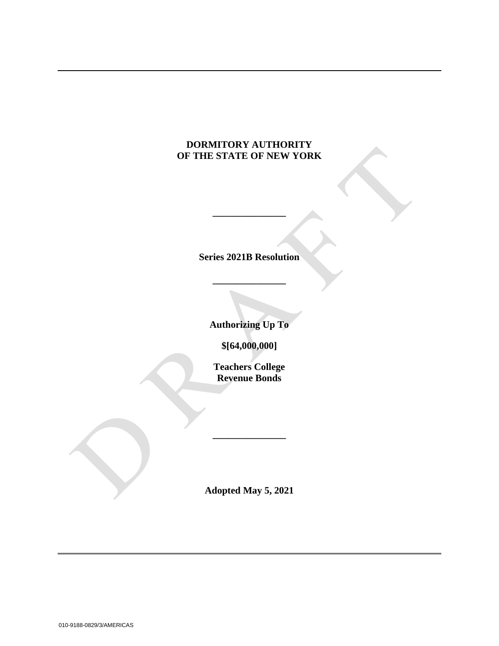# **DORMITORY AUTHORITY OF THE STATE OF NEW YORK**

**Series 2021B Resolution**

**\_\_\_\_\_\_\_\_\_\_\_\_\_\_\_**

**\_\_\_\_\_\_\_\_\_\_\_\_\_\_\_**

**Authorizing Up To**

**\$[64,000,000]**

**Teachers College Revenue Bonds**

**Adopted May 5, 2021**

**\_\_\_\_\_\_\_\_\_\_\_\_\_\_\_**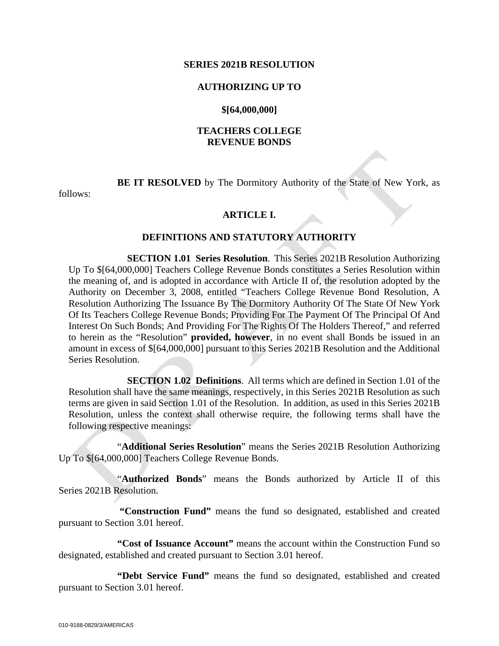#### **SERIES 2021B RESOLUTION**

#### **AUTHORIZING UP TO**

#### **\$[64,000,000]**

### **TEACHERS COLLEGE REVENUE BONDS**

**BE IT RESOLVED** by The Dormitory Authority of the State of New York, as

follows:

#### **ARTICLE I.**

#### **DEFINITIONS AND STATUTORY AUTHORITY**

**SECTION 1.01 Series Resolution**. This Series 2021B Resolution Authorizing Up To \$[64,000,000] Teachers College Revenue Bonds constitutes a Series Resolution within the meaning of, and is adopted in accordance with Article II of, the resolution adopted by the Authority on December 3, 2008, entitled "Teachers College Revenue Bond Resolution, A Resolution Authorizing The Issuance By The Dormitory Authority Of The State Of New York Of Its Teachers College Revenue Bonds; Providing For The Payment Of The Principal Of And Interest On Such Bonds; And Providing For The Rights Of The Holders Thereof," and referred to herein as the "Resolution" **provided, however**, in no event shall Bonds be issued in an amount in excess of \$[64,000,000] pursuant to this Series 2021B Resolution and the Additional Series Resolution.

**SECTION 1.02 Definitions**. All terms which are defined in Section 1.01 of the Resolution shall have the same meanings, respectively, in this Series 2021B Resolution as such terms are given in said Section 1.01 of the Resolution. In addition, as used in this Series 2021B Resolution, unless the context shall otherwise require, the following terms shall have the following respective meanings:

"**Additional Series Resolution**" means the Series 2021B Resolution Authorizing Up To \$[64,000,000] Teachers College Revenue Bonds.

"**Authorized Bonds**" means the Bonds authorized by Article II of this Series 2021B Resolution.

**"Construction Fund"** means the fund so designated, established and created pursuant to Section 3.01 hereof.

**"Cost of Issuance Account"** means the account within the Construction Fund so designated, established and created pursuant to Section 3.01 hereof.

**"Debt Service Fund"** means the fund so designated, established and created pursuant to Section 3.01 hereof.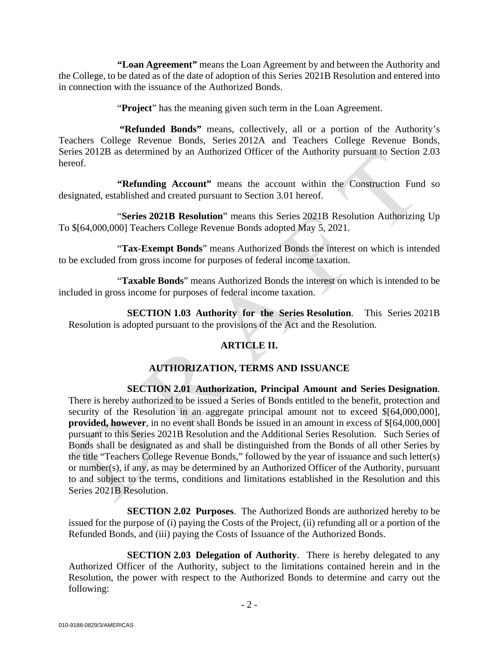**"Loan Agreement"** means the Loan Agreement by and between the Authority and the College, to be dated as of the date of adoption of this Series 2021B Resolution and entered into in connection with the issuance of the Authorized Bonds.

"**Project**" has the meaning given such term in the Loan Agreement.

**"Refunded Bonds"** means, collectively, all or a portion of the Authority's Teachers College Revenue Bonds, Series 2012A and Teachers College Revenue Bonds, Series 2012B as determined by an Authorized Officer of the Authority pursuant to Section 2.03 hereof.

**"Refunding Account"** means the account within the Construction Fund so designated, established and created pursuant to Section 3.01 hereof.

"**Series 2021B Resolution**" means this Series 2021B Resolution Authorizing Up To \$[64,000,000] Teachers College Revenue Bonds adopted May 5, 2021.

"**Tax-Exempt Bonds**" means Authorized Bonds the interest on which is intended to be excluded from gross income for purposes of federal income taxation.

"**Taxable Bonds**" means Authorized Bonds the interest on which is intended to be included in gross income for purposes of federal income taxation.

**SECTION 1.03 Authority for the Series Resolution**. This Series 2021B Resolution is adopted pursuant to the provisions of the Act and the Resolution.

# **ARTICLE II.**

# **AUTHORIZATION, TERMS AND ISSUANCE**

**SECTION 2.01 Authorization, Principal Amount and Series Designation**. There is hereby authorized to be issued a Series of Bonds entitled to the benefit, protection and security of the Resolution in an aggregate principal amount not to exceed  $\{(64,000,000)\}$ , **provided, however**, in no event shall Bonds be issued in an amount in excess of \$[64,000,000] pursuant to this Series 2021B Resolution and the Additional Series Resolution. Such Series of Bonds shall be designated as and shall be distinguished from the Bonds of all other Series by the title "Teachers College Revenue Bonds," followed by the year of issuance and such letter(s) or number(s), if any, as may be determined by an Authorized Officer of the Authority, pursuant to and subject to the terms, conditions and limitations established in the Resolution and this Series 2021B Resolution.

**SECTION 2.02 Purposes**. The Authorized Bonds are authorized hereby to be issued for the purpose of (i) paying the Costs of the Project, (ii) refunding all or a portion of the Refunded Bonds, and (iii) paying the Costs of Issuance of the Authorized Bonds.

**SECTION 2.03 Delegation of Authority.** There is hereby delegated to any Authorized Officer of the Authority, subject to the limitations contained herein and in the Resolution, the power with respect to the Authorized Bonds to determine and carry out the following: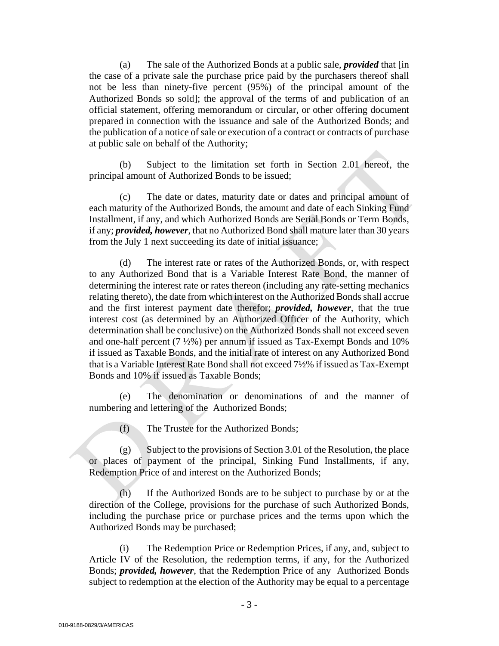(a) The sale of the Authorized Bonds at a public sale, *provided* that [in the case of a private sale the purchase price paid by the purchasers thereof shall not be less than ninety-five percent (95%) of the principal amount of the Authorized Bonds so sold]; the approval of the terms of and publication of an official statement, offering memorandum or circular, or other offering document prepared in connection with the issuance and sale of the Authorized Bonds; and the publication of a notice of sale or execution of a contract or contracts of purchase at public sale on behalf of the Authority;

(b) Subject to the limitation set forth in Section 2.01 hereof, the principal amount of Authorized Bonds to be issued;

(c) The date or dates, maturity date or dates and principal amount of each maturity of the Authorized Bonds, the amount and date of each Sinking Fund Installment, if any, and which Authorized Bonds are Serial Bonds or Term Bonds, if any; *provided, however*, that no Authorized Bond shall mature later than 30 years from the July 1 next succeeding its date of initial issuance;

(d) The interest rate or rates of the Authorized Bonds, or, with respect to any Authorized Bond that is a Variable Interest Rate Bond, the manner of determining the interest rate or rates thereon (including any rate-setting mechanics relating thereto), the date from which interest on the Authorized Bonds shall accrue and the first interest payment date therefor; *provided, however*, that the true interest cost (as determined by an Authorized Officer of the Authority, which determination shall be conclusive) on the Authorized Bonds shall not exceed seven and one-half percent (7 ½%) per annum if issued as Tax-Exempt Bonds and 10% if issued as Taxable Bonds, and the initial rate of interest on any Authorized Bond that is a Variable Interest Rate Bond shall not exceed 7½% if issued as Tax-Exempt Bonds and 10% if issued as Taxable Bonds;

(e) The denomination or denominations of and the manner of numbering and lettering of the Authorized Bonds;

(f) The Trustee for the Authorized Bonds;

 $(g)$  Subject to the provisions of Section 3.01 of the Resolution, the place or places of payment of the principal, Sinking Fund Installments, if any, Redemption Price of and interest on the Authorized Bonds;

(h) If the Authorized Bonds are to be subject to purchase by or at the direction of the College, provisions for the purchase of such Authorized Bonds, including the purchase price or purchase prices and the terms upon which the Authorized Bonds may be purchased;

(i) The Redemption Price or Redemption Prices, if any, and, subject to Article IV of the Resolution, the redemption terms, if any, for the Authorized Bonds; *provided, however*, that the Redemption Price of any Authorized Bonds subject to redemption at the election of the Authority may be equal to a percentage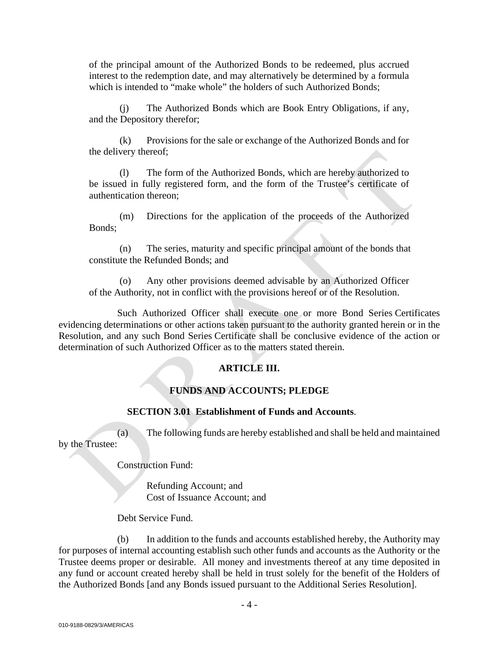of the principal amount of the Authorized Bonds to be redeemed, plus accrued interest to the redemption date, and may alternatively be determined by a formula which is intended to "make whole" the holders of such Authorized Bonds:

(j) The Authorized Bonds which are Book Entry Obligations, if any, and the Depository therefor;

(k) Provisions for the sale or exchange of the Authorized Bonds and for the delivery thereof;

(l) The form of the Authorized Bonds, which are hereby authorized to be issued in fully registered form, and the form of the Trustee's certificate of authentication thereon;

(m) Directions for the application of the proceeds of the Authorized Bonds;

(n) The series, maturity and specific principal amount of the bonds that constitute the Refunded Bonds; and

(o) Any other provisions deemed advisable by an Authorized Officer of the Authority, not in conflict with the provisions hereof or of the Resolution.

Such Authorized Officer shall execute one or more Bond Series Certificates evidencing determinations or other actions taken pursuant to the authority granted herein or in the Resolution, and any such Bond Series Certificate shall be conclusive evidence of the action or determination of such Authorized Officer as to the matters stated therein.

# **ARTICLE III.**

# **FUNDS AND ACCOUNTS; PLEDGE**

#### **SECTION 3.01 Establishment of Funds and Accounts**.

(a) The following funds are hereby established and shall be held and maintained by the Trustee:

Construction Fund:

Refunding Account; and Cost of Issuance Account; and

Debt Service Fund.

(b) In addition to the funds and accounts established hereby, the Authority may for purposes of internal accounting establish such other funds and accounts as the Authority or the Trustee deems proper or desirable. All money and investments thereof at any time deposited in any fund or account created hereby shall be held in trust solely for the benefit of the Holders of the Authorized Bonds [and any Bonds issued pursuant to the Additional Series Resolution].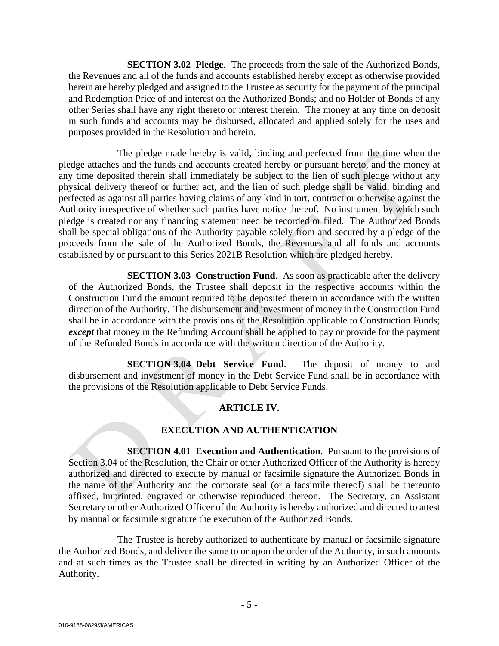**SECTION 3.02 Pledge**. The proceeds from the sale of the Authorized Bonds, the Revenues and all of the funds and accounts established hereby except as otherwise provided herein are hereby pledged and assigned to the Trustee as security for the payment of the principal and Redemption Price of and interest on the Authorized Bonds; and no Holder of Bonds of any other Series shall have any right thereto or interest therein. The money at any time on deposit in such funds and accounts may be disbursed, allocated and applied solely for the uses and purposes provided in the Resolution and herein.

The pledge made hereby is valid, binding and perfected from the time when the pledge attaches and the funds and accounts created hereby or pursuant hereto, and the money at any time deposited therein shall immediately be subject to the lien of such pledge without any physical delivery thereof or further act, and the lien of such pledge shall be valid, binding and perfected as against all parties having claims of any kind in tort, contract or otherwise against the Authority irrespective of whether such parties have notice thereof. No instrument by which such pledge is created nor any financing statement need be recorded or filed. The Authorized Bonds shall be special obligations of the Authority payable solely from and secured by a pledge of the proceeds from the sale of the Authorized Bonds, the Revenues and all funds and accounts established by or pursuant to this Series 2021B Resolution which are pledged hereby.

**SECTION 3.03 Construction Fund.** As soon as practicable after the delivery of the Authorized Bonds, the Trustee shall deposit in the respective accounts within the Construction Fund the amount required to be deposited therein in accordance with the written direction of the Authority. The disbursement and investment of money in the Construction Fund shall be in accordance with the provisions of the Resolution applicable to Construction Funds; *except* that money in the Refunding Account shall be applied to pay or provide for the payment of the Refunded Bonds in accordance with the written direction of the Authority.

**SECTION 3.04 Debt Service Fund**. The deposit of money to and disbursement and investment of money in the Debt Service Fund shall be in accordance with the provisions of the Resolution applicable to Debt Service Funds.

## **ARTICLE IV.**

## **EXECUTION AND AUTHENTICATION**

**SECTION 4.01 Execution and Authentication**. Pursuant to the provisions of Section 3.04 of the Resolution, the Chair or other Authorized Officer of the Authority is hereby authorized and directed to execute by manual or facsimile signature the Authorized Bonds in the name of the Authority and the corporate seal (or a facsimile thereof) shall be thereunto affixed, imprinted, engraved or otherwise reproduced thereon. The Secretary, an Assistant Secretary or other Authorized Officer of the Authority is hereby authorized and directed to attest by manual or facsimile signature the execution of the Authorized Bonds.

The Trustee is hereby authorized to authenticate by manual or facsimile signature the Authorized Bonds, and deliver the same to or upon the order of the Authority, in such amounts and at such times as the Trustee shall be directed in writing by an Authorized Officer of the Authority.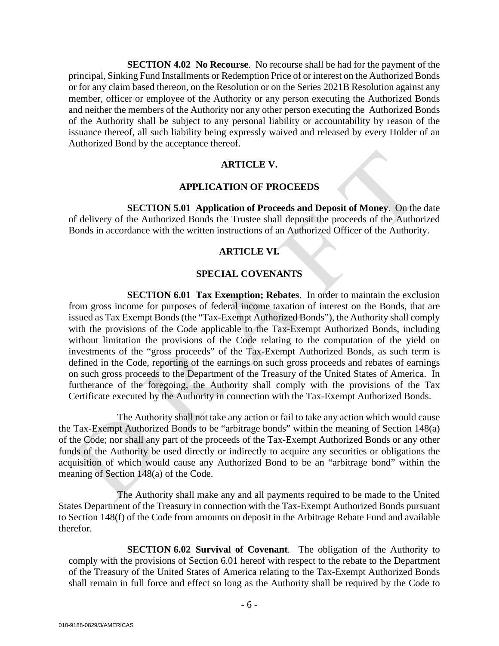**SECTION 4.02 No Recourse**. No recourse shall be had for the payment of the principal, Sinking Fund Installments or Redemption Price of or interest on the Authorized Bonds or for any claim based thereon, on the Resolution or on the Series 2021B Resolution against any member, officer or employee of the Authority or any person executing the Authorized Bonds and neither the members of the Authority nor any other person executing the Authorized Bonds of the Authority shall be subject to any personal liability or accountability by reason of the issuance thereof, all such liability being expressly waived and released by every Holder of an Authorized Bond by the acceptance thereof.

## **ARTICLE V.**

#### **APPLICATION OF PROCEEDS**

**SECTION 5.01 Application of Proceeds and Deposit of Money**. On the date of delivery of the Authorized Bonds the Trustee shall deposit the proceeds of the Authorized Bonds in accordance with the written instructions of an Authorized Officer of the Authority.

## **ARTICLE VI.**

## **SPECIAL COVENANTS**

**SECTION 6.01 Tax Exemption; Rebates**. In order to maintain the exclusion from gross income for purposes of federal income taxation of interest on the Bonds, that are issued as Tax Exempt Bonds (the "Tax-Exempt Authorized Bonds"), the Authority shall comply with the provisions of the Code applicable to the Tax-Exempt Authorized Bonds, including without limitation the provisions of the Code relating to the computation of the yield on investments of the "gross proceeds" of the Tax-Exempt Authorized Bonds, as such term is defined in the Code, reporting of the earnings on such gross proceeds and rebates of earnings on such gross proceeds to the Department of the Treasury of the United States of America. In furtherance of the foregoing, the Authority shall comply with the provisions of the Tax Certificate executed by the Authority in connection with the Tax-Exempt Authorized Bonds.

The Authority shall not take any action or fail to take any action which would cause the Tax-Exempt Authorized Bonds to be "arbitrage bonds" within the meaning of Section 148(a) of the Code; nor shall any part of the proceeds of the Tax-Exempt Authorized Bonds or any other funds of the Authority be used directly or indirectly to acquire any securities or obligations the acquisition of which would cause any Authorized Bond to be an "arbitrage bond" within the meaning of Section 148(a) of the Code.

The Authority shall make any and all payments required to be made to the United States Department of the Treasury in connection with the Tax-Exempt Authorized Bonds pursuant to Section 148(f) of the Code from amounts on deposit in the Arbitrage Rebate Fund and available therefor.

**SECTION 6.02 Survival of Covenant**. The obligation of the Authority to comply with the provisions of Section 6.01 hereof with respect to the rebate to the Department of the Treasury of the United States of America relating to the Tax-Exempt Authorized Bonds shall remain in full force and effect so long as the Authority shall be required by the Code to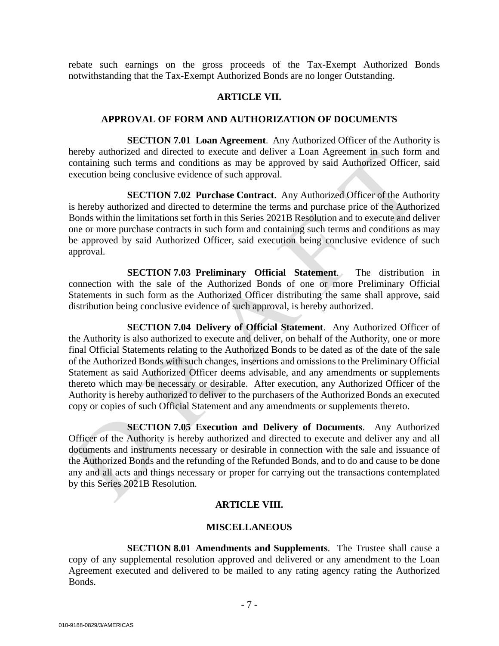rebate such earnings on the gross proceeds of the Tax-Exempt Authorized Bonds notwithstanding that the Tax-Exempt Authorized Bonds are no longer Outstanding.

#### **ARTICLE VII.**

#### **APPROVAL OF FORM AND AUTHORIZATION OF DOCUMENTS**

**SECTION 7.01 Loan Agreement.** Any Authorized Officer of the Authority is hereby authorized and directed to execute and deliver a Loan Agreement in such form and containing such terms and conditions as may be approved by said Authorized Officer, said execution being conclusive evidence of such approval.

**SECTION 7.02 Purchase Contract**. Any Authorized Officer of the Authority is hereby authorized and directed to determine the terms and purchase price of the Authorized Bonds within the limitations set forth in this Series 2021B Resolution and to execute and deliver one or more purchase contracts in such form and containing such terms and conditions as may be approved by said Authorized Officer, said execution being conclusive evidence of such approval.

**SECTION 7.03 Preliminary Official Statement**. The distribution in connection with the sale of the Authorized Bonds of one or more Preliminary Official Statements in such form as the Authorized Officer distributing the same shall approve, said distribution being conclusive evidence of such approval, is hereby authorized.

**SECTION 7.04 Delivery of Official Statement**. Any Authorized Officer of the Authority is also authorized to execute and deliver, on behalf of the Authority, one or more final Official Statements relating to the Authorized Bonds to be dated as of the date of the sale of the Authorized Bonds with such changes, insertions and omissions to the Preliminary Official Statement as said Authorized Officer deems advisable, and any amendments or supplements thereto which may be necessary or desirable. After execution, any Authorized Officer of the Authority is hereby authorized to deliver to the purchasers of the Authorized Bonds an executed copy or copies of such Official Statement and any amendments or supplements thereto.

**SECTION 7.05 Execution and Delivery of Documents**. Any Authorized Officer of the Authority is hereby authorized and directed to execute and deliver any and all documents and instruments necessary or desirable in connection with the sale and issuance of the Authorized Bonds and the refunding of the Refunded Bonds, and to do and cause to be done any and all acts and things necessary or proper for carrying out the transactions contemplated by this Series 2021B Resolution.

## **ARTICLE VIII.**

## **MISCELLANEOUS**

**SECTION 8.01 Amendments and Supplements**. The Trustee shall cause a copy of any supplemental resolution approved and delivered or any amendment to the Loan Agreement executed and delivered to be mailed to any rating agency rating the Authorized Bonds.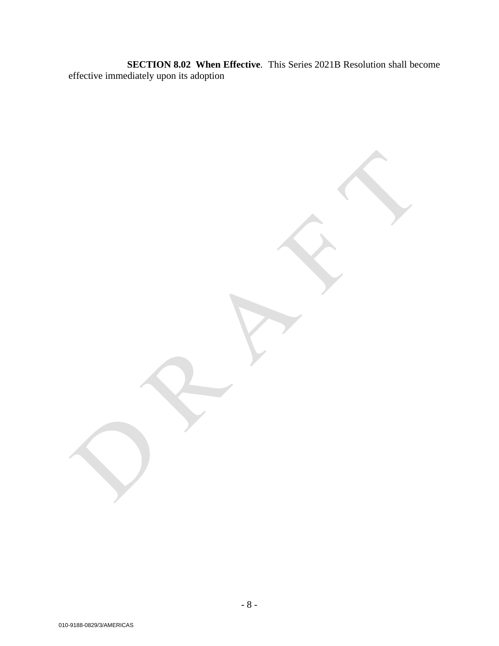**SECTION 8.02 When Effective**. This Series 2021B Resolution shall become effective immediately upon its adoption